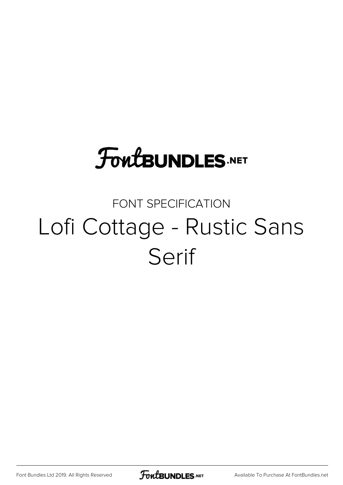# **FoutBUNDLES.NET**

## FONT SPECIFICATION Lofi Cottage - Rustic Sans Serif

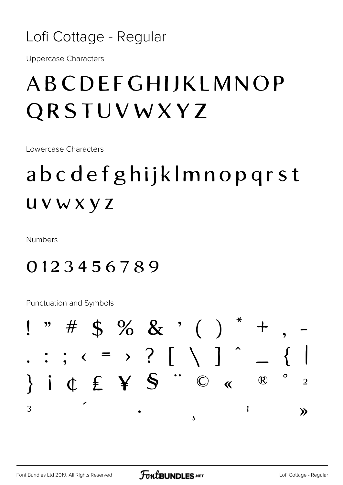#### Lofi Cottage - Regular

**Uppercase Characters** 

## ABCDEFGHIJKLMNOP QRSTUVWXYZ

Lowercase Characters

# abcdefghijklmnopgrst UVWXYZ

**Numbers** 

#### 0123456789

**Punctuation and Symbols** 

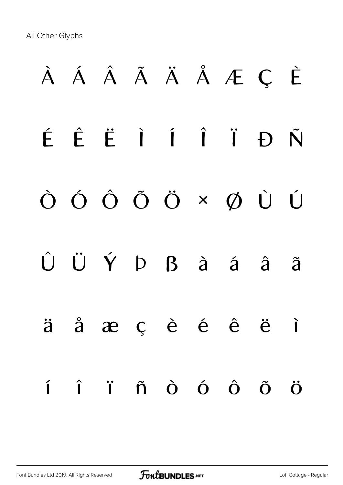All Other Glyphs

# À Á Â Ã Ä Å Æ Ç È É Ê Ë Ì Í Î Ï Ð Ñ Ò Ó Ô Õ Ö × Ø Ù Ú Û Ü Ý Þ ß à á â ã ä å æ ç è é ê ë ì í î ï ñ ò ó ô õ ö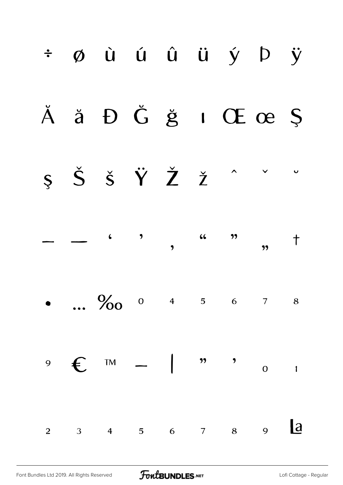|                | ÷ øù ú û ü ý þ ÿ                                                                                                                                                                                                                                                                                                                                                                                                                                                                                                        |  |  |  |
|----------------|-------------------------------------------------------------------------------------------------------------------------------------------------------------------------------------------------------------------------------------------------------------------------------------------------------------------------------------------------------------------------------------------------------------------------------------------------------------------------------------------------------------------------|--|--|--|
|                | Ă ă Đ Ğ ğ ı Œ œ Ş                                                                                                                                                                                                                                                                                                                                                                                                                                                                                                       |  |  |  |
|                | $\zeta \quad \check{S} \quad \check{S} \quad \check{Y} \quad \check{Z} \quad \check{Z} \quad \check{Z} \quad \check{Z} \quad \check{Z} \quad \check{Z} \quad \check{Z} \quad \check{Z} \quad \check{Z} \quad \check{Z} \quad \check{Z} \quad \check{Z} \quad \check{Z} \quad \check{Z} \quad \check{Z} \quad \check{Z} \quad \check{Z} \quad \check{Z} \quad \check{Z} \quad \check{Z} \quad \check{Z} \quad \check{Z} \quad \check{Z} \quad \check{Z} \quad \check{Z} \quad \check{Z} \quad \check{Z} \quad \check{Z}$ |  |  |  |
|                | $  \left.\begin{matrix} 6 & 7 \end{matrix}\right)$ $\left.\begin{matrix} 6 & 7 \end{matrix}\right)$ $\left.\begin{matrix} 7 & 1 \end{matrix}\right)$                                                                                                                                                                                                                                                                                                                                                                    |  |  |  |
|                | $\frac{6}{100}$ 0 4 5 6 7 8                                                                                                                                                                                                                                                                                                                                                                                                                                                                                             |  |  |  |
|                | $9 \quad \epsilon \quad \text{Im} \quad - \quad   \quad \text{m} \quad \text{O} \quad \text{m}$                                                                                                                                                                                                                                                                                                                                                                                                                         |  |  |  |
| $\overline{2}$ | $3$ 4 5 6 7 8 9 $\boxed{a}$                                                                                                                                                                                                                                                                                                                                                                                                                                                                                             |  |  |  |

FontBUNDLES.NET